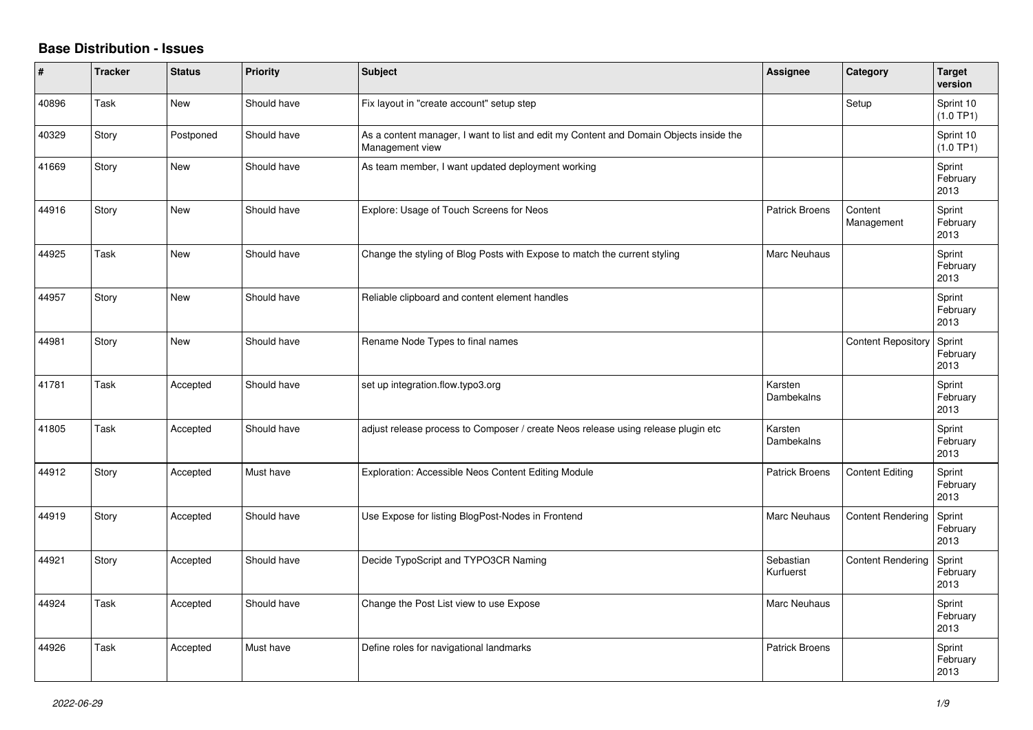## **Base Distribution - Issues**

| #     | <b>Tracker</b> | <b>Status</b> | <b>Priority</b> | <b>Subject</b>                                                                                            | <b>Assignee</b>        | Category                  | <b>Target</b><br>version   |
|-------|----------------|---------------|-----------------|-----------------------------------------------------------------------------------------------------------|------------------------|---------------------------|----------------------------|
| 40896 | Task           | New           | Should have     | Fix layout in "create account" setup step                                                                 |                        | Setup                     | Sprint 10<br>(1.0 TP1)     |
| 40329 | Story          | Postponed     | Should have     | As a content manager, I want to list and edit my Content and Domain Objects inside the<br>Management view |                        |                           | Sprint 10<br>(1.0 TP1)     |
| 41669 | Story          | New           | Should have     | As team member, I want updated deployment working                                                         |                        |                           | Sprint<br>February<br>2013 |
| 44916 | Story          | <b>New</b>    | Should have     | Explore: Usage of Touch Screens for Neos                                                                  | <b>Patrick Broens</b>  | Content<br>Management     | Sprint<br>February<br>2013 |
| 44925 | Task           | New           | Should have     | Change the styling of Blog Posts with Expose to match the current styling                                 | <b>Marc Neuhaus</b>    |                           | Sprint<br>February<br>2013 |
| 44957 | Story          | New           | Should have     | Reliable clipboard and content element handles                                                            |                        |                           | Sprint<br>February<br>2013 |
| 44981 | Story          | <b>New</b>    | Should have     | Rename Node Types to final names                                                                          |                        | <b>Content Repository</b> | Sprint<br>February<br>2013 |
| 41781 | Task           | Accepted      | Should have     | set up integration.flow.typo3.org                                                                         | Karsten<br>Dambekalns  |                           | Sprint<br>February<br>2013 |
| 41805 | Task           | Accepted      | Should have     | adjust release process to Composer / create Neos release using release plugin etc                         | Karsten<br>Dambekalns  |                           | Sprint<br>February<br>2013 |
| 44912 | Story          | Accepted      | Must have       | Exploration: Accessible Neos Content Editing Module                                                       | Patrick Broens         | <b>Content Editing</b>    | Sprint<br>February<br>2013 |
| 44919 | Story          | Accepted      | Should have     | Use Expose for listing BlogPost-Nodes in Frontend                                                         | Marc Neuhaus           | <b>Content Rendering</b>  | Sprint<br>February<br>2013 |
| 44921 | Story          | Accepted      | Should have     | Decide TypoScript and TYPO3CR Naming                                                                      | Sebastian<br>Kurfuerst | <b>Content Rendering</b>  | Sprint<br>February<br>2013 |
| 44924 | Task           | Accepted      | Should have     | Change the Post List view to use Expose                                                                   | <b>Marc Neuhaus</b>    |                           | Sprint<br>February<br>2013 |
| 44926 | Task           | Accepted      | Must have       | Define roles for navigational landmarks                                                                   | <b>Patrick Broens</b>  |                           | Sprint<br>February<br>2013 |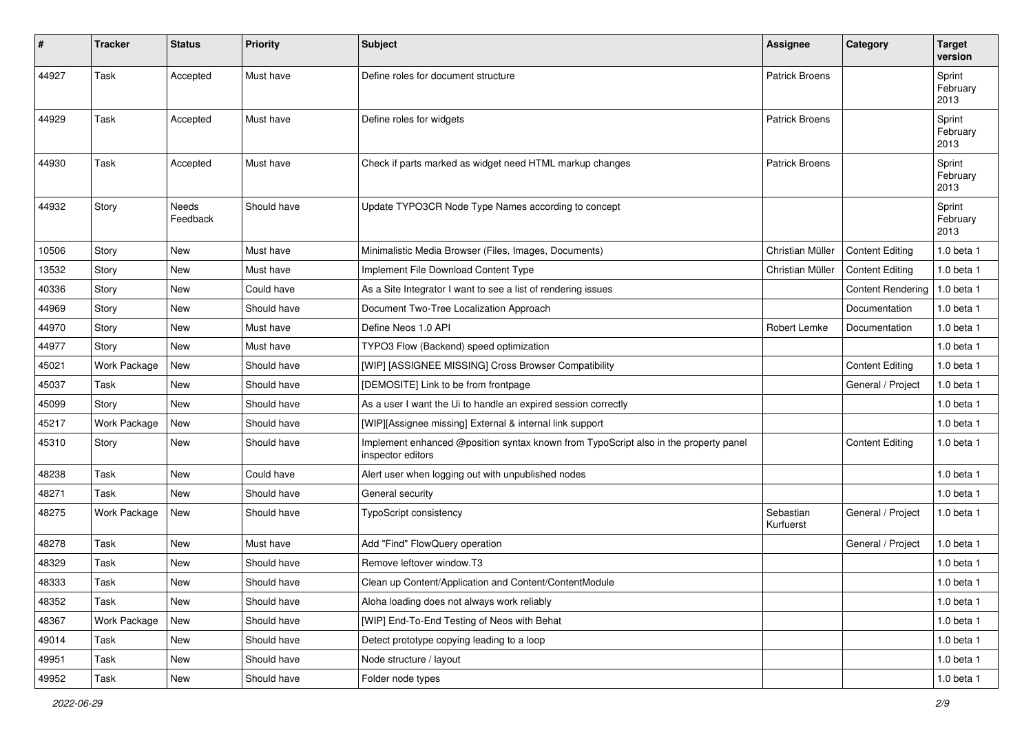| ∦     | <b>Tracker</b>      | <b>Status</b>     | <b>Priority</b> | <b>Subject</b>                                                                                            | <b>Assignee</b>        | Category                 | <b>Target</b><br>version   |
|-------|---------------------|-------------------|-----------------|-----------------------------------------------------------------------------------------------------------|------------------------|--------------------------|----------------------------|
| 44927 | Task                | Accepted          | Must have       | Define roles for document structure                                                                       | <b>Patrick Broens</b>  |                          | Sprint<br>February<br>2013 |
| 44929 | Task                | Accepted          | Must have       | Define roles for widgets                                                                                  | <b>Patrick Broens</b>  |                          | Sprint<br>February<br>2013 |
| 44930 | Task                | Accepted          | Must have       | Check if parts marked as widget need HTML markup changes                                                  | <b>Patrick Broens</b>  |                          | Sprint<br>February<br>2013 |
| 44932 | Story               | Needs<br>Feedback | Should have     | Update TYPO3CR Node Type Names according to concept                                                       |                        |                          | Sprint<br>February<br>2013 |
| 10506 | Story               | New               | Must have       | Minimalistic Media Browser (Files, Images, Documents)                                                     | Christian Müller       | <b>Content Editing</b>   | $1.0$ beta $1$             |
| 13532 | Story               | New               | Must have       | Implement File Download Content Type                                                                      | Christian Müller       | <b>Content Editing</b>   | 1.0 beta 1                 |
| 40336 | Story               | <b>New</b>        | Could have      | As a Site Integrator I want to see a list of rendering issues                                             |                        | <b>Content Rendering</b> | 1.0 beta 1                 |
| 44969 | Story               | New               | Should have     | Document Two-Tree Localization Approach                                                                   |                        | Documentation            | $1.0$ beta $1$             |
| 44970 | Story               | <b>New</b>        | Must have       | Define Neos 1.0 API                                                                                       | Robert Lemke           | Documentation            | 1.0 beta 1                 |
| 44977 | Story               | New               | Must have       | TYPO3 Flow (Backend) speed optimization                                                                   |                        |                          | $1.0$ beta $1$             |
| 45021 | Work Package        | <b>New</b>        | Should have     | [WIP] [ASSIGNEE MISSING] Cross Browser Compatibility                                                      |                        | <b>Content Editing</b>   | $1.0$ beta $1$             |
| 45037 | Task                | <b>New</b>        | Should have     | [DEMOSITE] Link to be from frontpage                                                                      |                        | General / Project        | 1.0 beta 1                 |
| 45099 | Story               | New               | Should have     | As a user I want the Ui to handle an expired session correctly                                            |                        |                          | $1.0$ beta $1$             |
| 45217 | Work Package        | <b>New</b>        | Should have     | [WIP][Assignee missing] External & internal link support                                                  |                        |                          | $1.0$ beta $1$             |
| 45310 | Story               | New               | Should have     | Implement enhanced @position syntax known from TypoScript also in the property panel<br>inspector editors |                        | <b>Content Editing</b>   | 1.0 beta 1                 |
| 48238 | Task                | <b>New</b>        | Could have      | Alert user when logging out with unpublished nodes                                                        |                        |                          | 1.0 beta 1                 |
| 48271 | Task                | New               | Should have     | General security                                                                                          |                        |                          | $1.0$ beta $1$             |
| 48275 | <b>Work Package</b> | New               | Should have     | TypoScript consistency                                                                                    | Sebastian<br>Kurfuerst | General / Project        | $1.0$ beta $1$             |
| 48278 | Task                | New               | Must have       | Add "Find" FlowQuery operation                                                                            |                        | General / Project        | $1.0$ beta $1$             |
| 48329 | Task                | New               | Should have     | Remove leftover window.T3                                                                                 |                        |                          | $1.0$ beta $1$             |
| 48333 | Task                | New               | Should have     | Clean up Content/Application and Content/ContentModule                                                    |                        |                          | $1.0$ beta $1$             |
| 48352 | Task                | New               | Should have     | Aloha loading does not always work reliably                                                               |                        |                          | 1.0 beta 1                 |
| 48367 | Work Package        | New               | Should have     | [WIP] End-To-End Testing of Neos with Behat                                                               |                        |                          | 1.0 beta 1                 |
| 49014 | Task                | New               | Should have     | Detect prototype copying leading to a loop                                                                |                        |                          | 1.0 beta 1                 |
| 49951 | Task                | New               | Should have     | Node structure / layout                                                                                   |                        |                          | 1.0 beta 1                 |
| 49952 | Task                | New               | Should have     | Folder node types                                                                                         |                        |                          | 1.0 beta 1                 |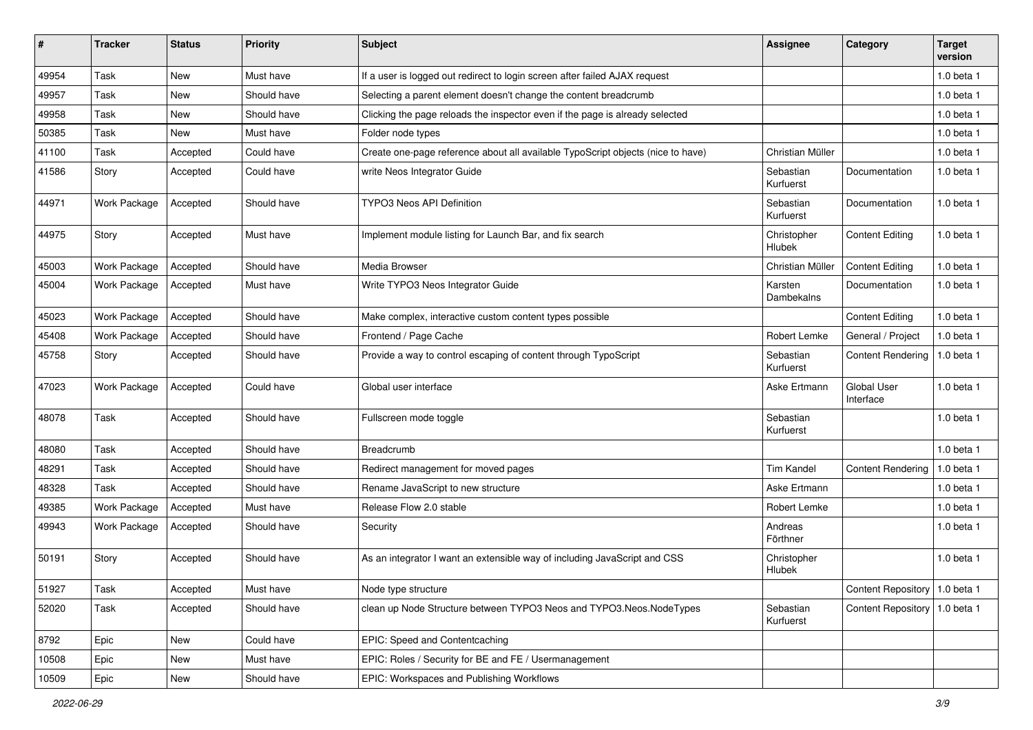| #     | <b>Tracker</b>      | <b>Status</b> | <b>Priority</b> | Subject                                                                         | Assignee                     | Category                        | <b>Target</b><br>version |
|-------|---------------------|---------------|-----------------|---------------------------------------------------------------------------------|------------------------------|---------------------------------|--------------------------|
| 49954 | Task                | New           | Must have       | If a user is logged out redirect to login screen after failed AJAX request      |                              |                                 | 1.0 beta 1               |
| 49957 | Task                | <b>New</b>    | Should have     | Selecting a parent element doesn't change the content breadcrumb                |                              |                                 | 1.0 beta 1               |
| 49958 | Task                | <b>New</b>    | Should have     | Clicking the page reloads the inspector even if the page is already selected    |                              |                                 | 1.0 beta 1               |
| 50385 | Task                | <b>New</b>    | Must have       | Folder node types                                                               |                              |                                 | 1.0 beta 1               |
| 41100 | Task                | Accepted      | Could have      | Create one-page reference about all available TypoScript objects (nice to have) | Christian Müller             |                                 | 1.0 beta 1               |
| 41586 | Story               | Accepted      | Could have      | write Neos Integrator Guide                                                     | Sebastian<br>Kurfuerst       | Documentation                   | 1.0 beta 1               |
| 44971 | Work Package        | Accepted      | Should have     | <b>TYPO3 Neos API Definition</b>                                                | Sebastian<br>Kurfuerst       | Documentation                   | 1.0 beta 1               |
| 44975 | Story               | Accepted      | Must have       | Implement module listing for Launch Bar, and fix search                         | Christopher<br>Hlubek        | <b>Content Editing</b>          | 1.0 beta 1               |
| 45003 | Work Package        | Accepted      | Should have     | Media Browser                                                                   | Christian Müller             | <b>Content Editing</b>          | 1.0 beta 1               |
| 45004 | Work Package        | Accepted      | Must have       | Write TYPO3 Neos Integrator Guide                                               | Karsten<br>Dambekalns        | Documentation                   | 1.0 beta 1               |
| 45023 | Work Package        | Accepted      | Should have     | Make complex, interactive custom content types possible                         |                              | <b>Content Editing</b>          | 1.0 beta 1               |
| 45408 | Work Package        | Accepted      | Should have     | Frontend / Page Cache                                                           | Robert Lemke                 | General / Project               | 1.0 beta 1               |
| 45758 | Story               | Accepted      | Should have     | Provide a way to control escaping of content through TypoScript                 | Sebastian<br>Kurfuerst       | <b>Content Rendering</b>        | 1.0 beta 1               |
| 47023 | Work Package        | Accepted      | Could have      | Global user interface                                                           | Aske Ertmann                 | <b>Global User</b><br>Interface | 1.0 beta 1               |
| 48078 | Task                | Accepted      | Should have     | Fullscreen mode toggle                                                          | Sebastian<br>Kurfuerst       |                                 | 1.0 beta 1               |
| 48080 | Task                | Accepted      | Should have     | Breadcrumb                                                                      |                              |                                 | 1.0 beta 1               |
| 48291 | Task                | Accepted      | Should have     | Redirect management for moved pages                                             | <b>Tim Kandel</b>            | <b>Content Rendering</b>        | 1.0 beta 1               |
| 48328 | Task                | Accepted      | Should have     | Rename JavaScript to new structure                                              | Aske Ertmann                 |                                 | 1.0 beta 1               |
| 49385 | Work Package        | Accepted      | Must have       | Release Flow 2.0 stable                                                         | Robert Lemke                 |                                 | 1.0 beta 1               |
| 49943 | <b>Work Package</b> | Accepted      | Should have     | Security                                                                        | Andreas<br>Förthner          |                                 | 1.0 beta 1               |
| 50191 | Story               | Accepted      | Should have     | As an integrator I want an extensible way of including JavaScript and CSS       | Christopher<br><b>Hlubek</b> |                                 | 1.0 beta 1               |
| 51927 | Task                | Accepted      | Must have       | Node type structure                                                             |                              | Content Repository   1.0 beta 1 |                          |
| 52020 | Task                | Accepted      | Should have     | clean up Node Structure between TYPO3 Neos and TYPO3.Neos.NodeTypes             | Sebastian<br>Kurfuerst       | Content Repository   1.0 beta 1 |                          |
| 8792  | Epic                | New           | Could have      | EPIC: Speed and Contentcaching                                                  |                              |                                 |                          |
| 10508 | Epic                | New           | Must have       | EPIC: Roles / Security for BE and FE / Usermanagement                           |                              |                                 |                          |
| 10509 | Epic                | New           | Should have     | EPIC: Workspaces and Publishing Workflows                                       |                              |                                 |                          |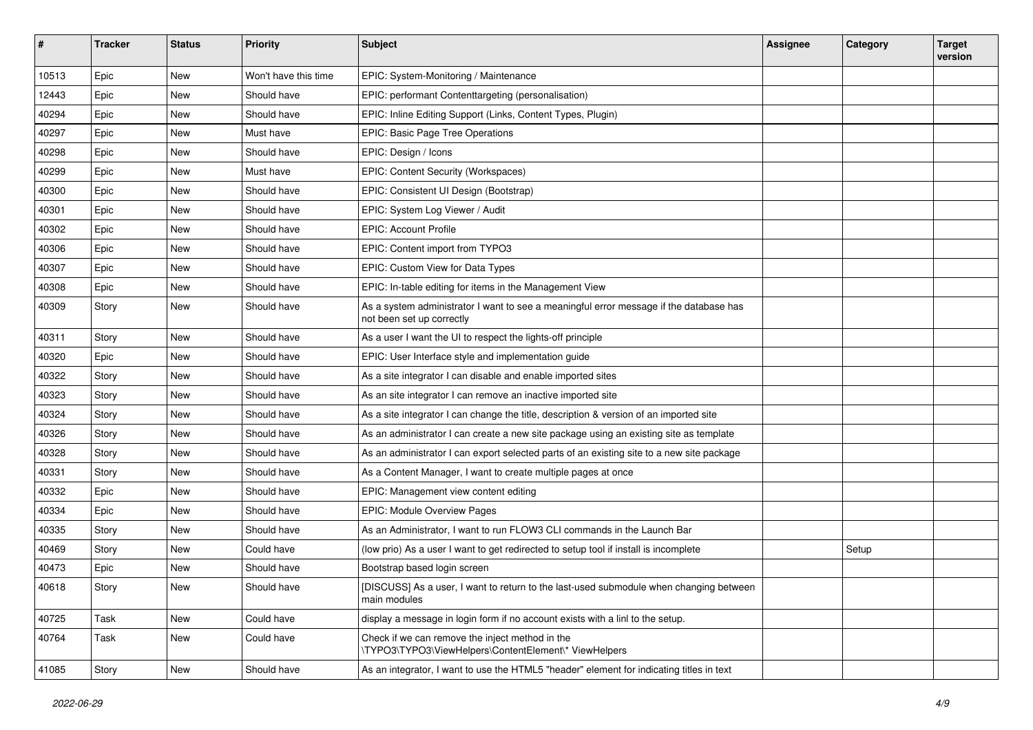| ∦     | <b>Tracker</b> | <b>Status</b> | <b>Priority</b>      | Subject                                                                                                             | <b>Assignee</b> | Category | <b>Target</b><br>version |
|-------|----------------|---------------|----------------------|---------------------------------------------------------------------------------------------------------------------|-----------------|----------|--------------------------|
| 10513 | Epic           | <b>New</b>    | Won't have this time | EPIC: System-Monitoring / Maintenance                                                                               |                 |          |                          |
| 12443 | Epic           | New           | Should have          | EPIC: performant Contenttargeting (personalisation)                                                                 |                 |          |                          |
| 40294 | Epic           | New           | Should have          | EPIC: Inline Editing Support (Links, Content Types, Plugin)                                                         |                 |          |                          |
| 40297 | Epic           | <b>New</b>    | Must have            | EPIC: Basic Page Tree Operations                                                                                    |                 |          |                          |
| 40298 | Epic           | New           | Should have          | EPIC: Design / Icons                                                                                                |                 |          |                          |
| 40299 | Epic           | <b>New</b>    | Must have            | EPIC: Content Security (Workspaces)                                                                                 |                 |          |                          |
| 40300 | Epic           | New           | Should have          | EPIC: Consistent UI Design (Bootstrap)                                                                              |                 |          |                          |
| 40301 | Epic           | New           | Should have          | EPIC: System Log Viewer / Audit                                                                                     |                 |          |                          |
| 40302 | Epic           | New           | Should have          | <b>EPIC: Account Profile</b>                                                                                        |                 |          |                          |
| 40306 | Epic           | New           | Should have          | EPIC: Content import from TYPO3                                                                                     |                 |          |                          |
| 40307 | Epic           | <b>New</b>    | Should have          | EPIC: Custom View for Data Types                                                                                    |                 |          |                          |
| 40308 | Epic           | New           | Should have          | EPIC: In-table editing for items in the Management View                                                             |                 |          |                          |
| 40309 | Story          | New           | Should have          | As a system administrator I want to see a meaningful error message if the database has<br>not been set up correctly |                 |          |                          |
| 40311 | Story          | New           | Should have          | As a user I want the UI to respect the lights-off principle                                                         |                 |          |                          |
| 40320 | Epic           | New           | Should have          | EPIC: User Interface style and implementation guide                                                                 |                 |          |                          |
| 40322 | Story          | New           | Should have          | As a site integrator I can disable and enable imported sites                                                        |                 |          |                          |
| 40323 | Story          | New           | Should have          | As an site integrator I can remove an inactive imported site                                                        |                 |          |                          |
| 40324 | Story          | <b>New</b>    | Should have          | As a site integrator I can change the title, description & version of an imported site                              |                 |          |                          |
| 40326 | Story          | New           | Should have          | As an administrator I can create a new site package using an existing site as template                              |                 |          |                          |
| 40328 | Story          | New           | Should have          | As an administrator I can export selected parts of an existing site to a new site package                           |                 |          |                          |
| 40331 | Story          | <b>New</b>    | Should have          | As a Content Manager, I want to create multiple pages at once                                                       |                 |          |                          |
| 40332 | Epic           | New           | Should have          | EPIC: Management view content editing                                                                               |                 |          |                          |
| 40334 | Epic           | New           | Should have          | <b>EPIC: Module Overview Pages</b>                                                                                  |                 |          |                          |
| 40335 | Story          | New           | Should have          | As an Administrator, I want to run FLOW3 CLI commands in the Launch Bar                                             |                 |          |                          |
| 40469 | Story          | <b>New</b>    | Could have           | (low prio) As a user I want to get redirected to setup tool if install is incomplete                                |                 | Setup    |                          |
| 40473 | Epic           | New           | Should have          | Bootstrap based login screen                                                                                        |                 |          |                          |
| 40618 | Story          | New           | Should have          | [DISCUSS] As a user, I want to return to the last-used submodule when changing between<br>main modules              |                 |          |                          |
| 40725 | Task           | New           | Could have           | display a message in login form if no account exists with a linl to the setup.                                      |                 |          |                          |
| 40764 | Task           | New           | Could have           | Check if we can remove the inject method in the<br>\TYPO3\TYPO3\ViewHelpers\ContentElement\* ViewHelpers            |                 |          |                          |
| 41085 | Story          | New           | Should have          | As an integrator, I want to use the HTML5 "header" element for indicating titles in text                            |                 |          |                          |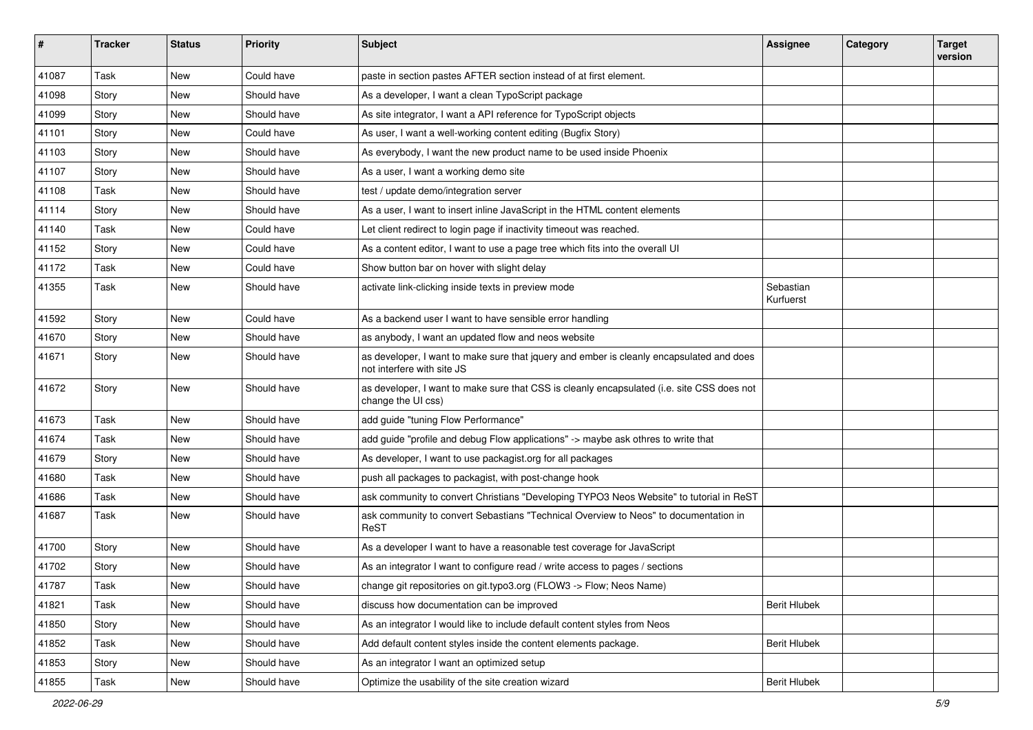| #     | <b>Tracker</b> | <b>Status</b> | Priority    | <b>Subject</b>                                                                                                         | <b>Assignee</b>        | Category | <b>Target</b><br>version |
|-------|----------------|---------------|-------------|------------------------------------------------------------------------------------------------------------------------|------------------------|----------|--------------------------|
| 41087 | Task           | <b>New</b>    | Could have  | paste in section pastes AFTER section instead of at first element.                                                     |                        |          |                          |
| 41098 | Story          | New           | Should have | As a developer, I want a clean TypoScript package                                                                      |                        |          |                          |
| 41099 | Story          | New           | Should have | As site integrator, I want a API reference for TypoScript objects                                                      |                        |          |                          |
| 41101 | Story          | <b>New</b>    | Could have  | As user, I want a well-working content editing (Bugfix Story)                                                          |                        |          |                          |
| 41103 | Story          | New           | Should have | As everybody, I want the new product name to be used inside Phoenix                                                    |                        |          |                          |
| 41107 | Story          | New           | Should have | As a user, I want a working demo site                                                                                  |                        |          |                          |
| 41108 | Task           | New           | Should have | test / update demo/integration server                                                                                  |                        |          |                          |
| 41114 | Story          | New           | Should have | As a user, I want to insert inline JavaScript in the HTML content elements                                             |                        |          |                          |
| 41140 | Task           | <b>New</b>    | Could have  | Let client redirect to login page if inactivity timeout was reached.                                                   |                        |          |                          |
| 41152 | Story          | New           | Could have  | As a content editor, I want to use a page tree which fits into the overall UI                                          |                        |          |                          |
| 41172 | Task           | New           | Could have  | Show button bar on hover with slight delay                                                                             |                        |          |                          |
| 41355 | Task           | New           | Should have | activate link-clicking inside texts in preview mode                                                                    | Sebastian<br>Kurfuerst |          |                          |
| 41592 | Story          | <b>New</b>    | Could have  | As a backend user I want to have sensible error handling                                                               |                        |          |                          |
| 41670 | Story          | New           | Should have | as anybody, I want an updated flow and neos website                                                                    |                        |          |                          |
| 41671 | Story          | New           | Should have | as developer, I want to make sure that jquery and ember is cleanly encapsulated and does<br>not interfere with site JS |                        |          |                          |
| 41672 | Story          | New           | Should have | as developer, I want to make sure that CSS is cleanly encapsulated (i.e. site CSS does not<br>change the UI css)       |                        |          |                          |
| 41673 | Task           | New           | Should have | add guide "tuning Flow Performance"                                                                                    |                        |          |                          |
| 41674 | Task           | New           | Should have | add guide "profile and debug Flow applications" -> maybe ask othres to write that                                      |                        |          |                          |
| 41679 | Story          | <b>New</b>    | Should have | As developer, I want to use packagist.org for all packages                                                             |                        |          |                          |
| 41680 | Task           | New           | Should have | push all packages to packagist, with post-change hook                                                                  |                        |          |                          |
| 41686 | Task           | New           | Should have | ask community to convert Christians "Developing TYPO3 Neos Website" to tutorial in ReST                                |                        |          |                          |
| 41687 | Task           | <b>New</b>    | Should have | ask community to convert Sebastians "Technical Overview to Neos" to documentation in<br>ReST                           |                        |          |                          |
| 41700 | Story          | <b>New</b>    | Should have | As a developer I want to have a reasonable test coverage for JavaScript                                                |                        |          |                          |
| 41702 | Story          | New           | Should have | As an integrator I want to configure read / write access to pages / sections                                           |                        |          |                          |
| 41787 | Task           | New           | Should have | change git repositories on git.typo3.org (FLOW3 -> Flow; Neos Name)                                                    |                        |          |                          |
| 41821 | Task           | New           | Should have | discuss how documentation can be improved                                                                              | <b>Berit Hlubek</b>    |          |                          |
| 41850 | Story          | New           | Should have | As an integrator I would like to include default content styles from Neos                                              |                        |          |                          |
| 41852 | Task           | New           | Should have | Add default content styles inside the content elements package.                                                        | <b>Berit Hlubek</b>    |          |                          |
| 41853 | Story          | New           | Should have | As an integrator I want an optimized setup                                                                             |                        |          |                          |
| 41855 | Task           | New           | Should have | Optimize the usability of the site creation wizard                                                                     | <b>Berit Hlubek</b>    |          |                          |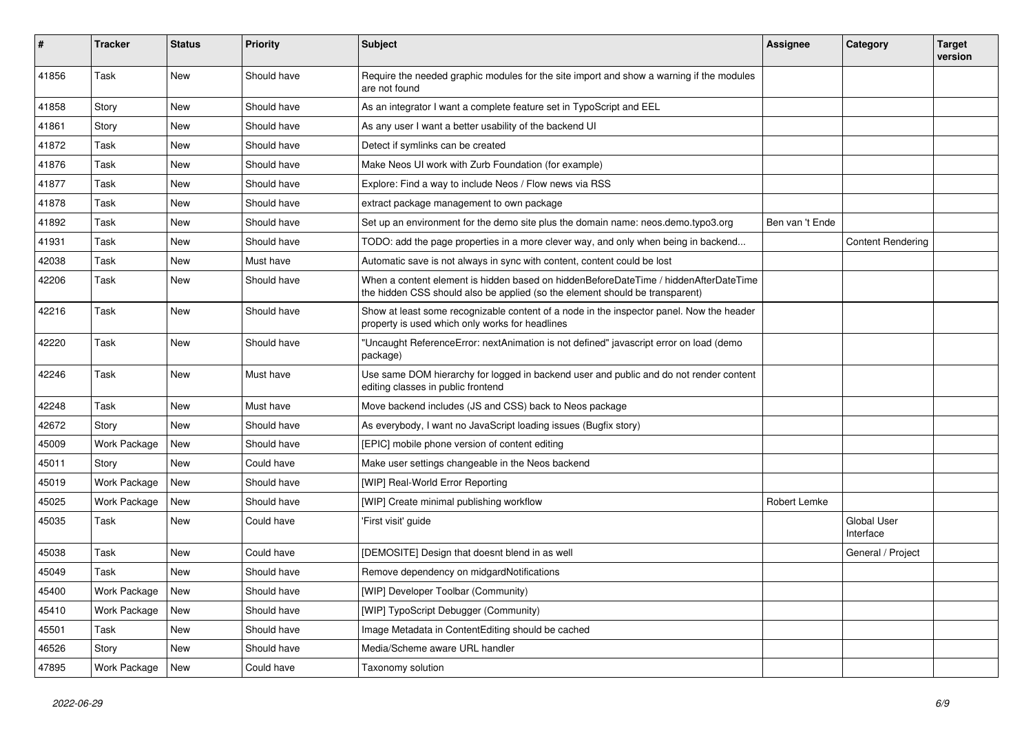| ∦     | <b>Tracker</b> | <b>Status</b> | <b>Priority</b> | Subject                                                                                                                                                              | <b>Assignee</b> | Category                 | <b>Target</b><br>version |
|-------|----------------|---------------|-----------------|----------------------------------------------------------------------------------------------------------------------------------------------------------------------|-----------------|--------------------------|--------------------------|
| 41856 | Task           | <b>New</b>    | Should have     | Require the needed graphic modules for the site import and show a warning if the modules<br>are not found                                                            |                 |                          |                          |
| 41858 | Story          | New           | Should have     | As an integrator I want a complete feature set in TypoScript and EEL                                                                                                 |                 |                          |                          |
| 41861 | Story          | <b>New</b>    | Should have     | As any user I want a better usability of the backend UI                                                                                                              |                 |                          |                          |
| 41872 | Task           | New           | Should have     | Detect if symlinks can be created                                                                                                                                    |                 |                          |                          |
| 41876 | Task           | <b>New</b>    | Should have     | Make Neos UI work with Zurb Foundation (for example)                                                                                                                 |                 |                          |                          |
| 41877 | Task           | New           | Should have     | Explore: Find a way to include Neos / Flow news via RSS                                                                                                              |                 |                          |                          |
| 41878 | Task           | New           | Should have     | extract package management to own package                                                                                                                            |                 |                          |                          |
| 41892 | Task           | <b>New</b>    | Should have     | Set up an environment for the demo site plus the domain name: neos.demo.typo3.org                                                                                    | Ben van 't Ende |                          |                          |
| 41931 | Task           | New           | Should have     | TODO: add the page properties in a more clever way, and only when being in backend                                                                                   |                 | <b>Content Rendering</b> |                          |
| 42038 | Task           | <b>New</b>    | Must have       | Automatic save is not always in sync with content, content could be lost                                                                                             |                 |                          |                          |
| 42206 | Task           | New           | Should have     | When a content element is hidden based on hiddenBeforeDateTime / hiddenAfterDateTime<br>the hidden CSS should also be applied (so the element should be transparent) |                 |                          |                          |
| 42216 | Task           | <b>New</b>    | Should have     | Show at least some recognizable content of a node in the inspector panel. Now the header<br>property is used which only works for headlines                          |                 |                          |                          |
| 42220 | Task           | New           | Should have     | "Uncaught ReferenceError: nextAnimation is not defined" javascript error on load (demo<br>package)                                                                   |                 |                          |                          |
| 42246 | Task           | <b>New</b>    | Must have       | Use same DOM hierarchy for logged in backend user and public and do not render content<br>editing classes in public frontend                                         |                 |                          |                          |
| 42248 | Task           | <b>New</b>    | Must have       | Move backend includes (JS and CSS) back to Neos package                                                                                                              |                 |                          |                          |
| 42672 | Story          | New           | Should have     | As everybody, I want no JavaScript loading issues (Bugfix story)                                                                                                     |                 |                          |                          |
| 45009 | Work Package   | <b>New</b>    | Should have     | [EPIC] mobile phone version of content editing                                                                                                                       |                 |                          |                          |
| 45011 | Story          | New           | Could have      | Make user settings changeable in the Neos backend                                                                                                                    |                 |                          |                          |
| 45019 | Work Package   | New           | Should have     | [WIP] Real-World Error Reporting                                                                                                                                     |                 |                          |                          |
| 45025 | Work Package   | <b>New</b>    | Should have     | [WIP] Create minimal publishing workflow                                                                                                                             | Robert Lemke    |                          |                          |
| 45035 | Task           | New           | Could have      | 'First visit' guide                                                                                                                                                  |                 | Global User<br>Interface |                          |
| 45038 | Task           | <b>New</b>    | Could have      | [DEMOSITE] Design that doesnt blend in as well                                                                                                                       |                 | General / Project        |                          |
| 45049 | Task           | New           | Should have     | Remove dependency on midgardNotifications                                                                                                                            |                 |                          |                          |
| 45400 | Work Package   | New           | Should have     | [WIP] Developer Toolbar (Community)                                                                                                                                  |                 |                          |                          |
| 45410 | Work Package   | New           | Should have     | [WIP] TypoScript Debugger (Community)                                                                                                                                |                 |                          |                          |
| 45501 | Task           | New           | Should have     | Image Metadata in ContentEditing should be cached                                                                                                                    |                 |                          |                          |
| 46526 | Story          | New           | Should have     | Media/Scheme aware URL handler                                                                                                                                       |                 |                          |                          |
| 47895 | Work Package   | New           | Could have      | Taxonomy solution                                                                                                                                                    |                 |                          |                          |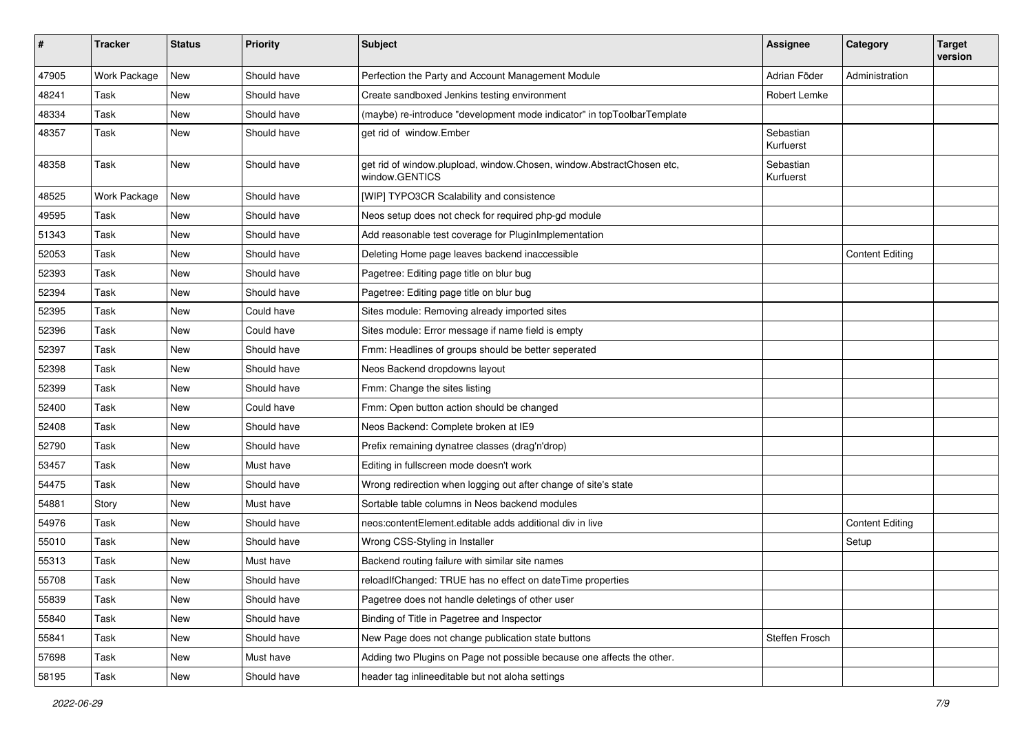| #     | <b>Tracker</b> | <b>Status</b> | <b>Priority</b> | <b>Subject</b>                                                                          | <b>Assignee</b>        | Category               | <b>Target</b><br>version |
|-------|----------------|---------------|-----------------|-----------------------------------------------------------------------------------------|------------------------|------------------------|--------------------------|
| 47905 | Work Package   | New           | Should have     | Perfection the Party and Account Management Module                                      | Adrian Föder           | Administration         |                          |
| 48241 | Task           | New           | Should have     | Create sandboxed Jenkins testing environment                                            | Robert Lemke           |                        |                          |
| 48334 | Task           | New           | Should have     | (maybe) re-introduce "development mode indicator" in topToolbarTemplate                 |                        |                        |                          |
| 48357 | Task           | <b>New</b>    | Should have     | get rid of window.Ember                                                                 | Sebastian<br>Kurfuerst |                        |                          |
| 48358 | Task           | New           | Should have     | get rid of window.plupload, window.Chosen, window.AbstractChosen etc,<br>window.GENTICS | Sebastian<br>Kurfuerst |                        |                          |
| 48525 | Work Package   | <b>New</b>    | Should have     | [WIP] TYPO3CR Scalability and consistence                                               |                        |                        |                          |
| 49595 | Task           | <b>New</b>    | Should have     | Neos setup does not check for required php-gd module                                    |                        |                        |                          |
| 51343 | Task           | New           | Should have     | Add reasonable test coverage for PluginImplementation                                   |                        |                        |                          |
| 52053 | Task           | New           | Should have     | Deleting Home page leaves backend inaccessible                                          |                        | <b>Content Editing</b> |                          |
| 52393 | Task           | <b>New</b>    | Should have     | Pagetree: Editing page title on blur bug                                                |                        |                        |                          |
| 52394 | Task           | New           | Should have     | Pagetree: Editing page title on blur bug                                                |                        |                        |                          |
| 52395 | Task           | <b>New</b>    | Could have      | Sites module: Removing already imported sites                                           |                        |                        |                          |
| 52396 | Task           | <b>New</b>    | Could have      | Sites module: Error message if name field is empty                                      |                        |                        |                          |
| 52397 | Task           | New           | Should have     | Fmm: Headlines of groups should be better seperated                                     |                        |                        |                          |
| 52398 | Task           | <b>New</b>    | Should have     | Neos Backend dropdowns layout                                                           |                        |                        |                          |
| 52399 | Task           | New           | Should have     | Fmm: Change the sites listing                                                           |                        |                        |                          |
| 52400 | Task           | New           | Could have      | Fmm: Open button action should be changed                                               |                        |                        |                          |
| 52408 | Task           | New           | Should have     | Neos Backend: Complete broken at IE9                                                    |                        |                        |                          |
| 52790 | Task           | <b>New</b>    | Should have     | Prefix remaining dynatree classes (drag'n'drop)                                         |                        |                        |                          |
| 53457 | Task           | <b>New</b>    | Must have       | Editing in fullscreen mode doesn't work                                                 |                        |                        |                          |
| 54475 | Task           | New           | Should have     | Wrong redirection when logging out after change of site's state                         |                        |                        |                          |
| 54881 | Story          | New           | Must have       | Sortable table columns in Neos backend modules                                          |                        |                        |                          |
| 54976 | Task           | New           | Should have     | neos:contentElement.editable adds additional div in live                                |                        | <b>Content Editing</b> |                          |
| 55010 | Task           | New           | Should have     | Wrong CSS-Styling in Installer                                                          |                        | Setup                  |                          |
| 55313 | Task           | New           | Must have       | Backend routing failure with similar site names                                         |                        |                        |                          |
| 55708 | Task           | New           | Should have     | reloadIfChanged: TRUE has no effect on dateTime properties                              |                        |                        |                          |
| 55839 | Task           | New           | Should have     | Pagetree does not handle deletings of other user                                        |                        |                        |                          |
| 55840 | Task           | New           | Should have     | Binding of Title in Pagetree and Inspector                                              |                        |                        |                          |
| 55841 | Task           | New           | Should have     | New Page does not change publication state buttons                                      | Steffen Frosch         |                        |                          |
| 57698 | Task           | New           | Must have       | Adding two Plugins on Page not possible because one affects the other.                  |                        |                        |                          |
| 58195 | Task           | New           | Should have     | header tag inlineeditable but not aloha settings                                        |                        |                        |                          |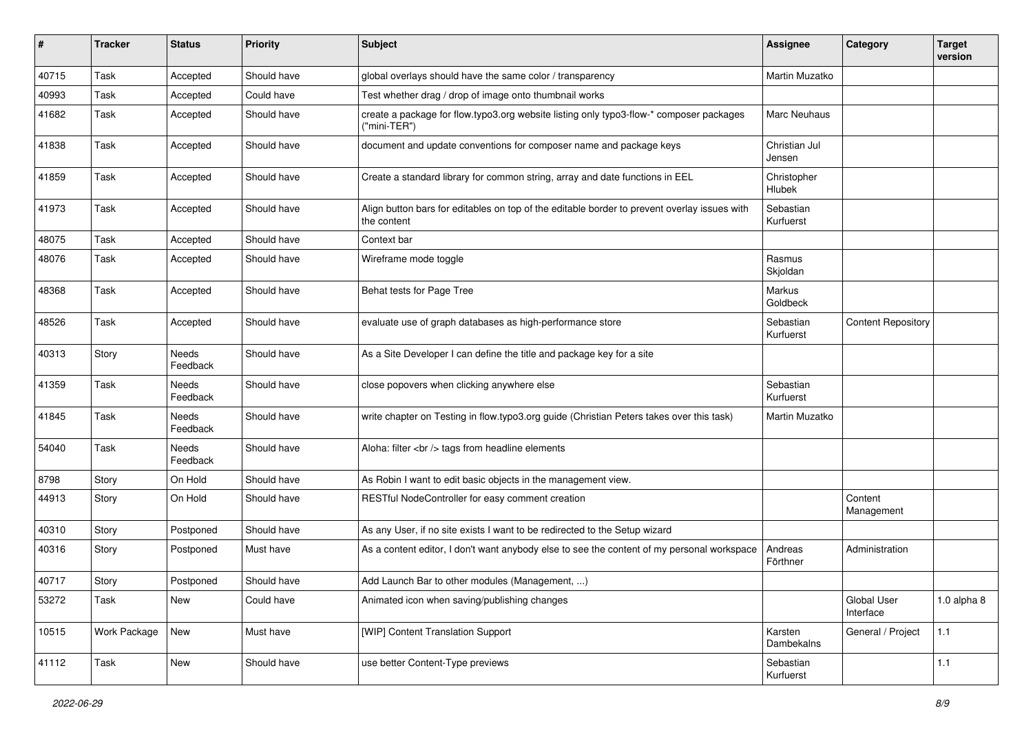| #     | <b>Tracker</b> | <b>Status</b>     | <b>Priority</b> | Subject                                                                                                     | <b>Assignee</b>         | Category                  | <b>Target</b><br>version |
|-------|----------------|-------------------|-----------------|-------------------------------------------------------------------------------------------------------------|-------------------------|---------------------------|--------------------------|
| 40715 | Task           | Accepted          | Should have     | global overlays should have the same color / transparency                                                   | Martin Muzatko          |                           |                          |
| 40993 | Task           | Accepted          | Could have      | Test whether drag / drop of image onto thumbnail works                                                      |                         |                           |                          |
| 41682 | Task           | Accepted          | Should have     | create a package for flow.typo3.org website listing only typo3-flow-* composer packages<br>("mini-TER")     | Marc Neuhaus            |                           |                          |
| 41838 | Task           | Accepted          | Should have     | document and update conventions for composer name and package keys                                          | Christian Jul<br>Jensen |                           |                          |
| 41859 | Task           | Accepted          | Should have     | Create a standard library for common string, array and date functions in EEL                                | Christopher<br>Hlubek   |                           |                          |
| 41973 | Task           | Accepted          | Should have     | Align button bars for editables on top of the editable border to prevent overlay issues with<br>the content | Sebastian<br>Kurfuerst  |                           |                          |
| 48075 | Task           | Accepted          | Should have     | Context bar                                                                                                 |                         |                           |                          |
| 48076 | Task           | Accepted          | Should have     | Wireframe mode toggle                                                                                       | Rasmus<br>Skjoldan      |                           |                          |
| 48368 | Task           | Accepted          | Should have     | Behat tests for Page Tree                                                                                   | Markus<br>Goldbeck      |                           |                          |
| 48526 | Task           | Accepted          | Should have     | evaluate use of graph databases as high-performance store                                                   | Sebastian<br>Kurfuerst  | <b>Content Repository</b> |                          |
| 40313 | Story          | Needs<br>Feedback | Should have     | As a Site Developer I can define the title and package key for a site                                       |                         |                           |                          |
| 41359 | Task           | Needs<br>Feedback | Should have     | close popovers when clicking anywhere else                                                                  | Sebastian<br>Kurfuerst  |                           |                          |
| 41845 | Task           | Needs<br>Feedback | Should have     | write chapter on Testing in flow.typo3.org guide (Christian Peters takes over this task)                    | Martin Muzatko          |                           |                          |
| 54040 | Task           | Needs<br>Feedback | Should have     | Aloha: filter<br>tags from headline elements                                                                |                         |                           |                          |
| 8798  | Story          | On Hold           | Should have     | As Robin I want to edit basic objects in the management view.                                               |                         |                           |                          |
| 44913 | Story          | On Hold           | Should have     | RESTful NodeController for easy comment creation                                                            |                         | Content<br>Management     |                          |
| 40310 | Story          | Postponed         | Should have     | As any User, if no site exists I want to be redirected to the Setup wizard                                  |                         |                           |                          |
| 40316 | Story          | Postponed         | Must have       | As a content editor, I don't want anybody else to see the content of my personal workspace                  | Andreas<br>Förthner     | Administration            |                          |
| 40717 | Story          | Postponed         | Should have     | Add Launch Bar to other modules (Management, )                                                              |                         |                           |                          |
| 53272 | Task           | New               | Could have      | Animated icon when saving/publishing changes                                                                |                         | Global User<br>Interface  | $1.0$ alpha $8$          |
| 10515 | Work Package   | New               | Must have       | [WIP] Content Translation Support                                                                           | Karsten<br>Dambekalns   | General / Project         | $1.1$                    |
| 41112 | Task           | New               | Should have     | use better Content-Type previews                                                                            | Sebastian<br>Kurfuerst  |                           | $1.1$                    |